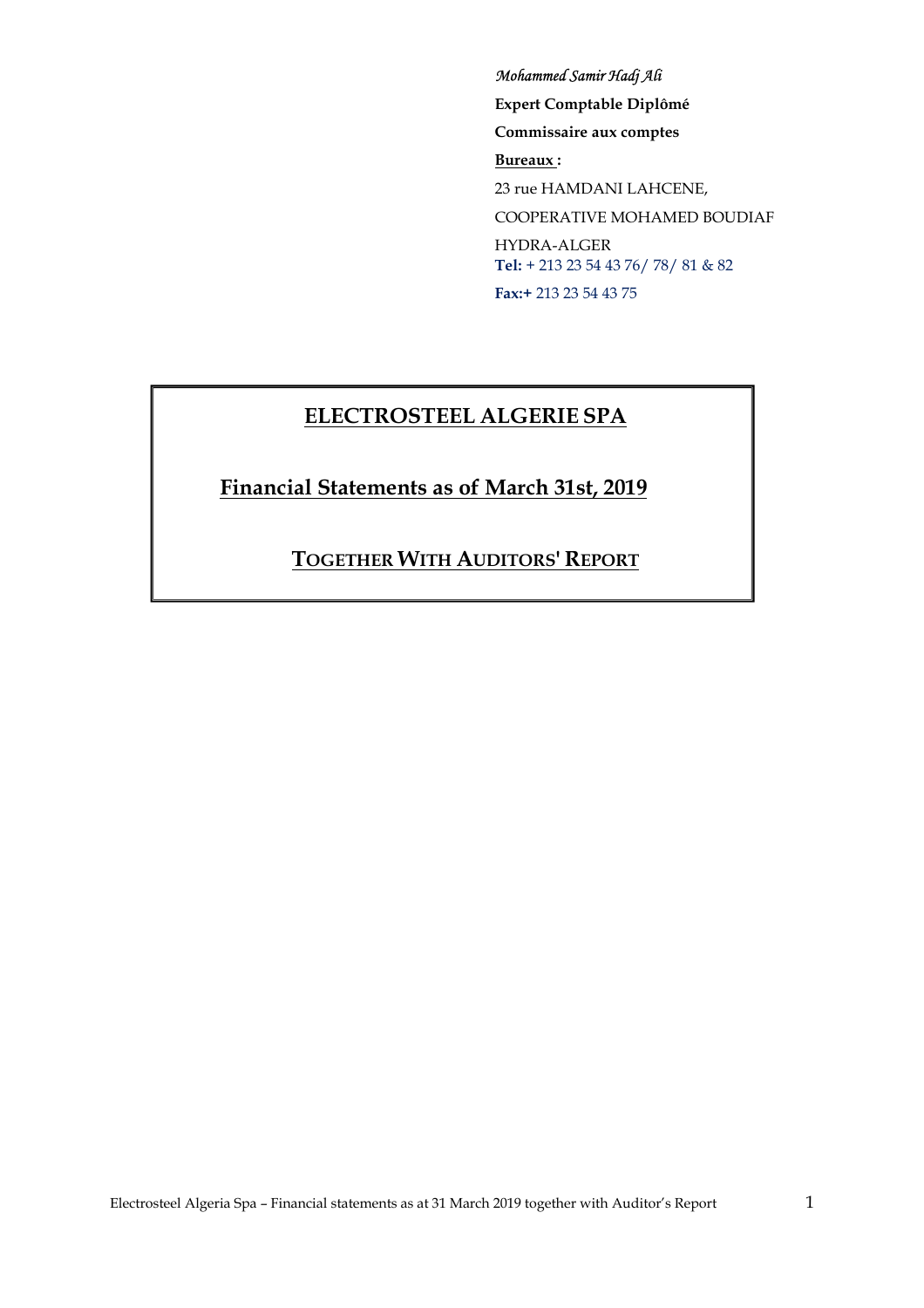#### *Mohammed Samir Hadj Ali*

**Expert Comptable Diplômé Commissaire aux comptes Bureaux :**  23 rue HAMDANI LAHCENE,

COOPERATIVE MOHAMED BOUDIAF

HYDRA-ALGER **Tel:** + 213 23 54 43 76/ 78/ 81 & 82 **Fax:+** 213 23 54 43 75

# **ELECTROSTEEL ALGERIE SPA**

**Financial Statements as of March 31st, 2019** 

**TOGETHER WITH AUDITORS' REPORT**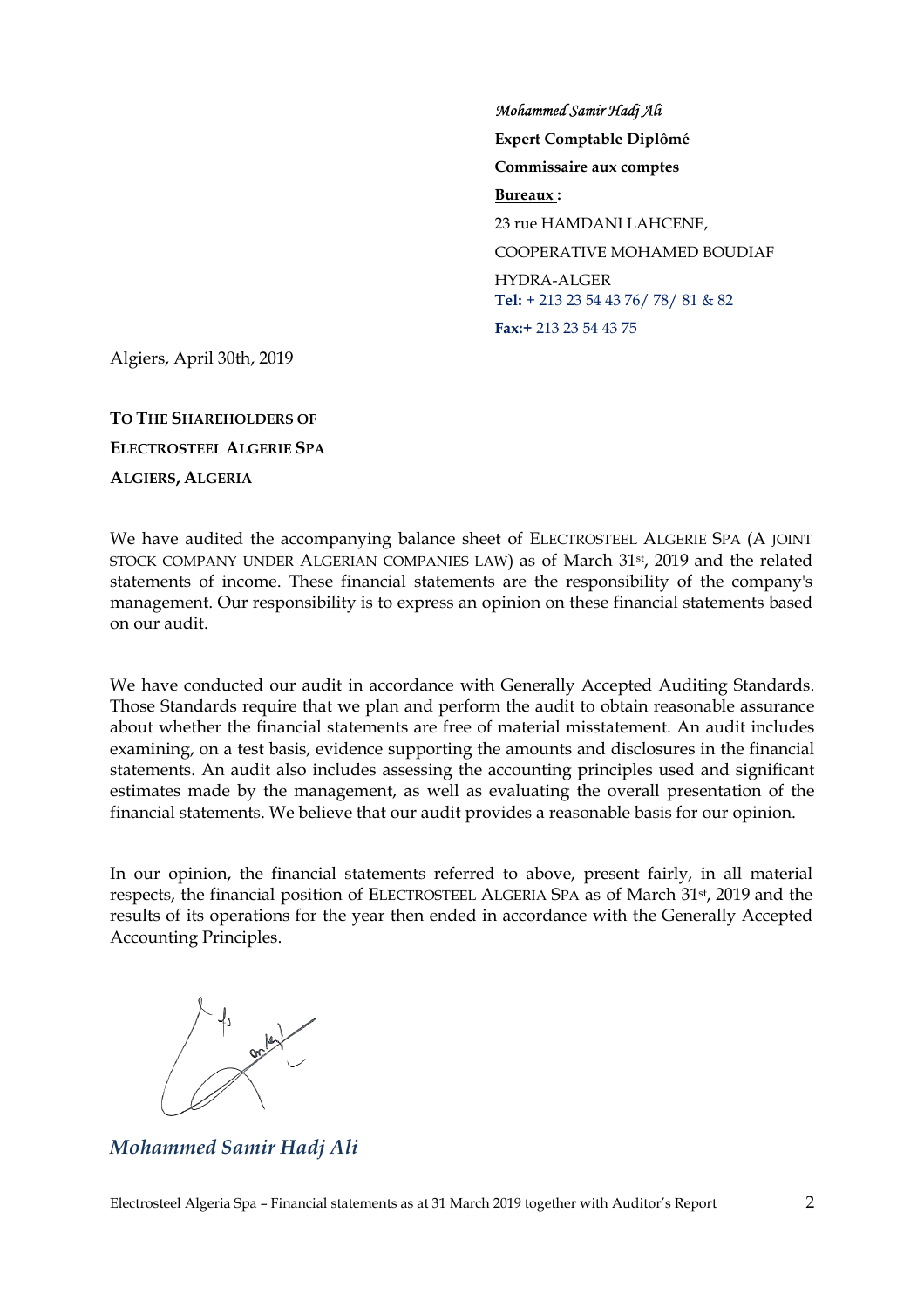*Mohammed Samir Hadj Ali*  **Expert Comptable Diplômé Commissaire aux comptes Bureaux :**  23 rue HAMDANI LAHCENE, COOPERATIVE MOHAMED BOUDIAF HYDRA-ALGER **Tel:** + 213 23 54 43 76/ 78/ 81 & 82 **Fax:+** 213 23 54 43 75

Algiers, April 30th, 2019

**TO THE SHAREHOLDERS OF ELECTROSTEEL ALGERIE SPA ALGIERS, ALGERIA**

We have audited the accompanying balance sheet of ELECTROSTEEL ALGERIE SPA (A JOINT STOCK COMPANY UNDER ALGERIAN COMPANIES LAW) as of March 31st , 2019 and the related statements of income. These financial statements are the responsibility of the company's management. Our responsibility is to express an opinion on these financial statements based on our audit.

We have conducted our audit in accordance with Generally Accepted Auditing Standards. Those Standards require that we plan and perform the audit to obtain reasonable assurance about whether the financial statements are free of material misstatement. An audit includes examining, on a test basis, evidence supporting the amounts and disclosures in the financial statements. An audit also includes assessing the accounting principles used and significant estimates made by the management, as well as evaluating the overall presentation of the financial statements. We believe that our audit provides a reasonable basis for our opinion.

In our opinion, the financial statements referred to above, present fairly, in all material respects, the financial position of ELECTROSTEEL ALGERIA SPA as of March 31st , 2019 and the results of its operations for the year then ended in accordance with the Generally Accepted Accounting Principles.



*Mohammed Samir Hadj Ali*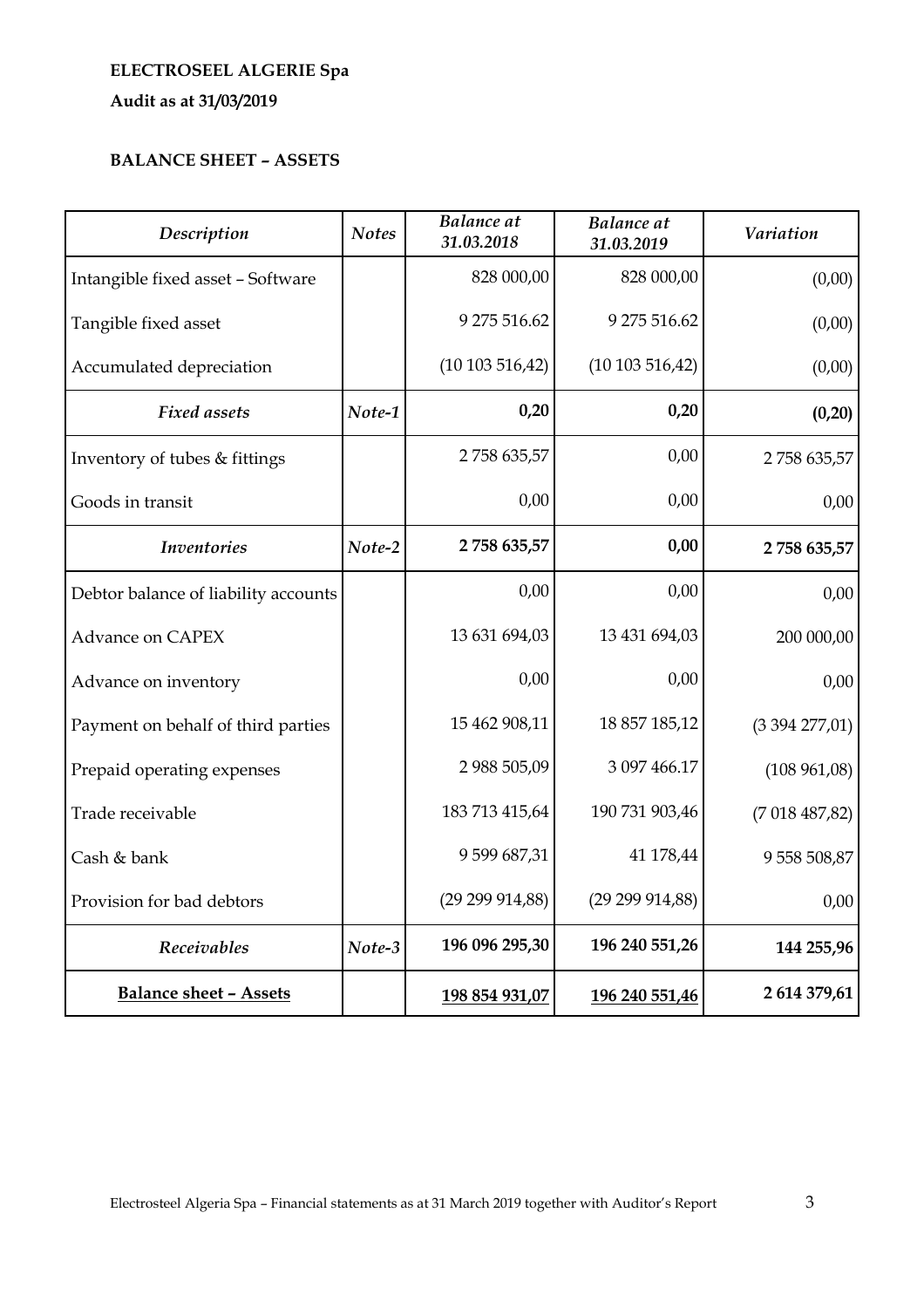# **ELECTROSEEL ALGERIE Spa Audit as at 31/03/2019**

## **BALANCE SHEET – ASSETS**

| Description                          | <b>Notes</b> | <b>Balance</b> at<br>31.03.2018 | <b>Balance</b> at<br>31.03.2019 | <b>Variation</b> |
|--------------------------------------|--------------|---------------------------------|---------------------------------|------------------|
| Intangible fixed asset - Software    |              | 828 000,00                      | 828 000,00                      | (0,00)           |
| Tangible fixed asset                 |              | 9 275 516.62                    | 9 275 516.62                    | (0,00)           |
| Accumulated depreciation             |              | (10103516,42)                   | (10103516,42)                   | (0,00)           |
| <b>Fixed assets</b>                  | Note-1       | 0,20                            | 0,20                            | (0, 20)          |
| Inventory of tubes & fittings        |              | 2758 635,57                     | 0,00                            | 2758 635,57      |
| Goods in transit                     |              | 0,00                            | 0,00                            | 0,00             |
| <b>Inventories</b>                   | Note-2       | 2758 635,57                     | 0,00                            | 2 758 635,57     |
| Debtor balance of liability accounts |              | 0,00                            | 0,00                            | 0,00             |
| <b>Advance on CAPEX</b>              |              | 13 631 694,03                   | 13 431 694,03                   | 200 000,00       |
| Advance on inventory                 |              | 0,00                            | 0,00                            | 0,00             |
| Payment on behalf of third parties   |              | 15 462 908,11                   | 18 857 185,12                   | (3394277,01)     |
| Prepaid operating expenses           |              | 2 988 505,09                    | 3 097 466.17                    | (108961,08)      |
| Trade receivable                     |              | 183 713 415,64                  | 190 731 903,46                  | (7018487,82)     |
| Cash & bank                          |              | 9599687,31                      | 41 178,44                       | 9 558 508,87     |
| Provision for bad debtors            |              | (29 299 914, 88)                | (29 299 914, 88)                | 0,00             |
| Receivables                          | Note-3       | 196 096 295,30                  | 196 240 551,26                  | 144 255,96       |
| <b>Balance sheet - Assets</b>        |              | 198 854 931,07                  | 196 240 551,46                  | 2 614 379,61     |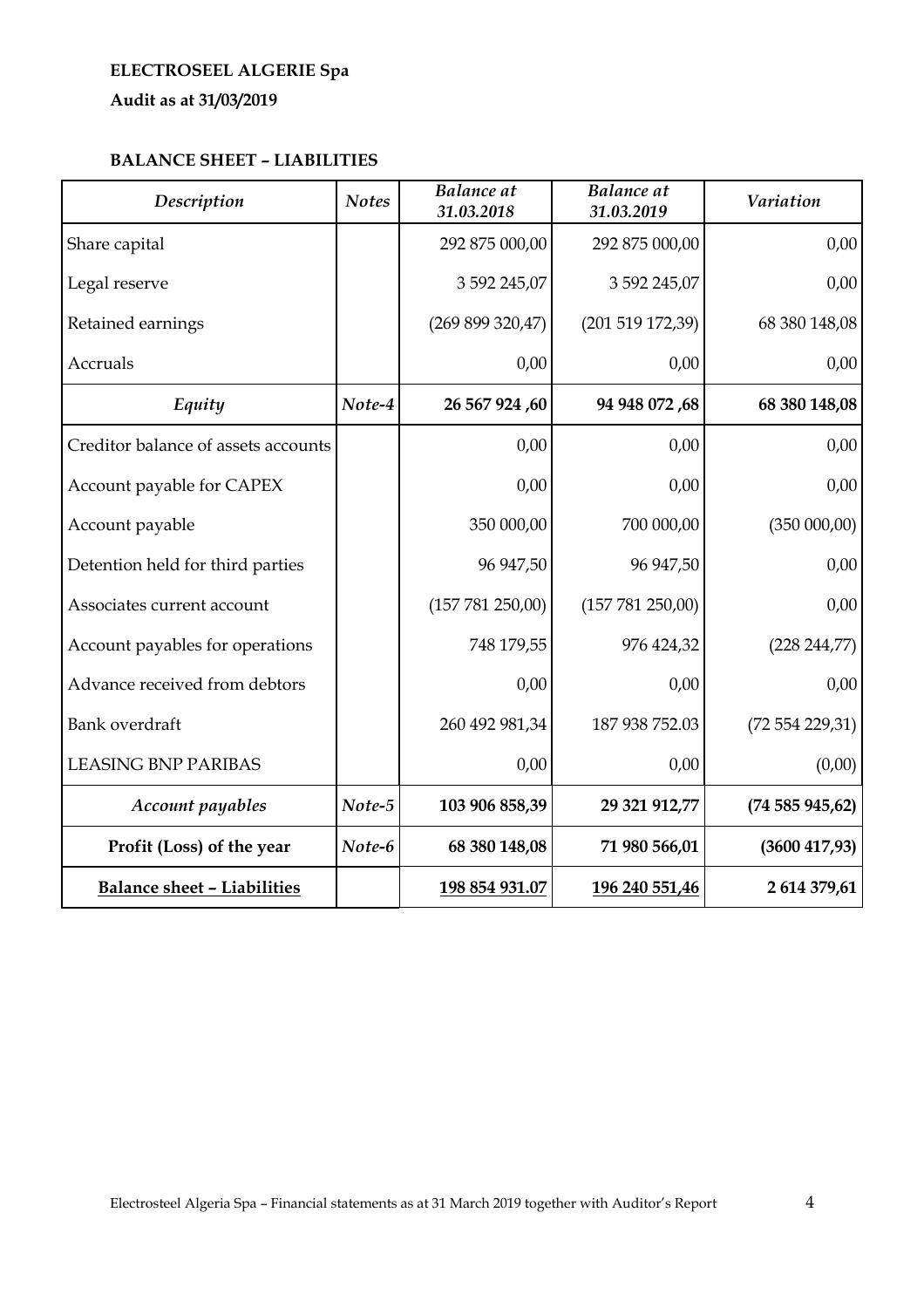# **ELECTROSEEL ALGERIE Spa**

**Audit as at 31/03/2019** 

## **BALANCE SHEET – LIABILITIES**

| Description                         | <b>Notes</b> | <b>Balance</b> at<br>31.03.2018 | <b>Balance</b> at<br>31.03.2019 | <b>Variation</b> |
|-------------------------------------|--------------|---------------------------------|---------------------------------|------------------|
| Share capital                       |              | 292 875 000,00                  | 292 875 000,00                  | 0,00             |
| Legal reserve                       |              | 3 592 245,07                    | 3 592 245,07                    | 0,00             |
| Retained earnings                   |              | (269 899 320,47)                | $(201\ 519\ 172,39)$            | 68 380 148,08    |
| <b>Accruals</b>                     |              | 0,00                            | 0,00                            | 0,00             |
| Equity                              | Note-4       | 26 567 924,60                   | 94 948 072,68                   | 68 380 148,08    |
| Creditor balance of assets accounts |              | 0,00                            | 0,00                            | 0,00             |
| Account payable for CAPEX           |              | 0,00                            | 0,00                            | 0,00             |
| Account payable                     |              | 350 000,00                      | 700 000,00                      | $(350\ 000,00)$  |
| Detention held for third parties    |              | 96 947,50                       | 96 947,50                       | 0,00             |
| Associates current account          |              | (157 781 250,00)                | (157 781 250,00)                | 0,00             |
| Account payables for operations     |              | 748 179,55                      | 976 424,32                      | (228 244, 77)    |
| Advance received from debtors       |              | 0,00                            | 0,00                            | 0,00             |
| Bank overdraft                      |              | 260 492 981,34                  | 187 938 752.03                  | (72554229,31)    |
| <b>LEASING BNP PARIBAS</b>          |              | 0,00                            | 0,00                            | (0,00)           |
| Account payables                    | Note-5       | 103 906 858,39                  | 29 321 912,77                   | (74585945,62)    |
| Profit (Loss) of the year           | Note-6       | 68 380 148,08                   | 71 980 566,01                   | (3600 417, 93)   |
| <b>Balance sheet - Liabilities</b>  |              | 198 854 931.07                  | 196 240 551,46                  | 2 614 379,61     |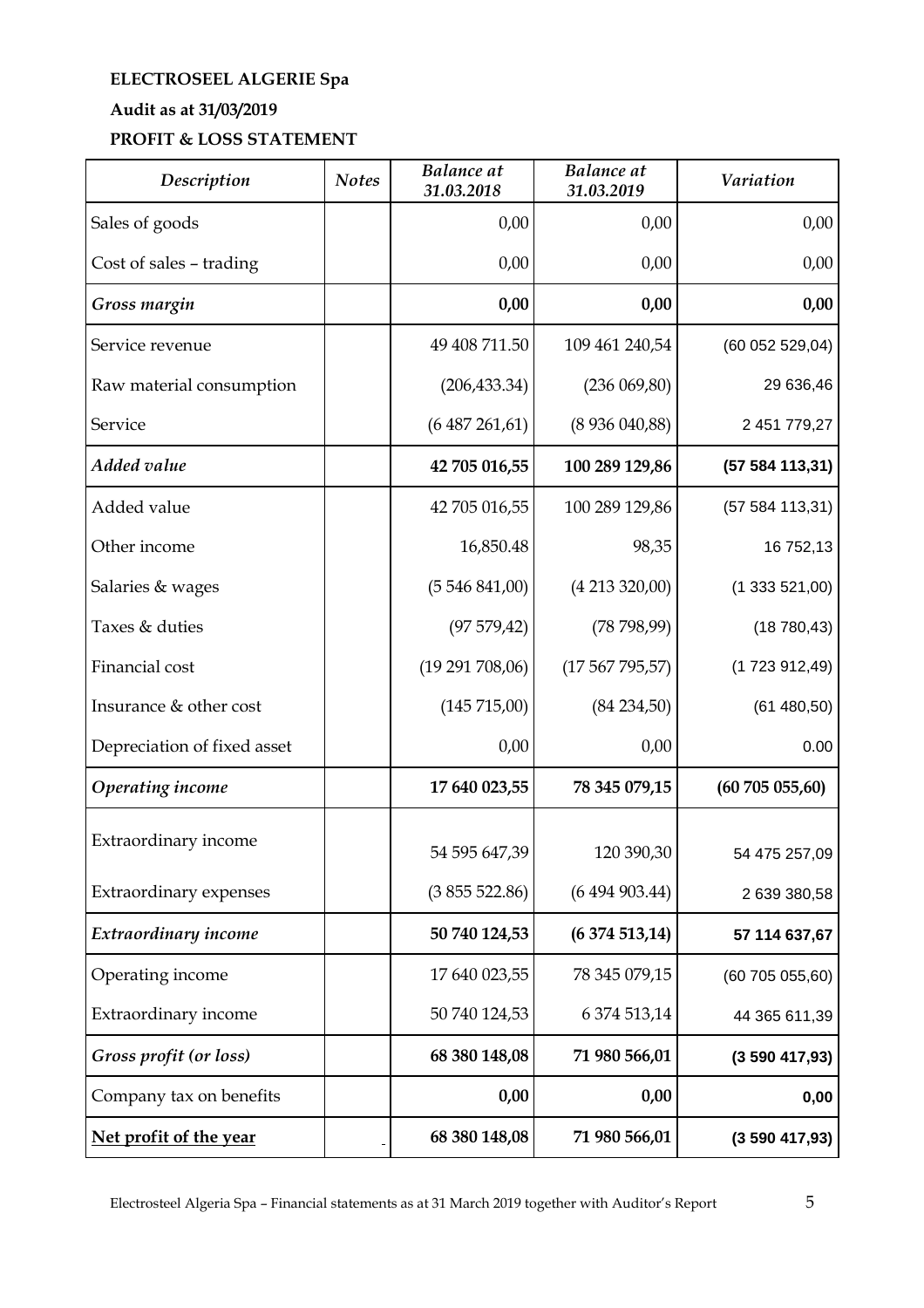# **ELECTROSEEL ALGERIE Spa**

## **Audit as at 31/03/2019**

## **PROFIT & LOSS STATEMENT**

| Description                 | <b>Notes</b> | <b>Balance</b> at<br>31.03.2018 | <b>Balance</b> at<br>31.03.2019 | <b>Variation</b> |
|-----------------------------|--------------|---------------------------------|---------------------------------|------------------|
| Sales of goods              |              | 0,00                            | 0,00                            | 0,00             |
| Cost of sales - trading     |              | 0,00                            | 0,00                            | 0,00             |
| Gross margin                |              | 0,00                            | 0,00                            | 0,00             |
| Service revenue             |              | 49 408 711.50                   | 109 461 240,54                  | (60052529,04)    |
| Raw material consumption    |              | (206, 433.34)                   | (236069,80)                     | 29 636,46        |
| Service                     |              | (6487261,61)                    | (8936040,88)                    | 2 451 779,27     |
| <b>Added value</b>          |              | 42 705 016,55                   | 100 289 129,86                  | (57584113,31)    |
| Added value                 |              | 42 705 016,55                   | 100 289 129,86                  | (57584113,31)    |
| Other income                |              | 16,850.48                       | 98,35                           | 16 752,13        |
| Salaries & wages            |              | (5546841,00)                    | (4213320,00)                    | (1333521,00)     |
| Taxes & duties              |              | (97579, 42)                     | (78798,99)                      | (18780, 43)      |
| Financial cost              |              | (19 291 708,06)                 | (17567795,57)                   | (1723912,49)     |
| Insurance & other cost      |              | (145 715,00)                    | (84234,50)                      | (61480,50)       |
| Depreciation of fixed asset |              | 0,00                            | 0,00                            | 0.00             |
| <b>Operating income</b>     |              | 17 640 023,55                   | 78 345 079,15                   | (60705055,60)    |
| Extraordinary income        |              | 54 595 647,39                   | 120 390,30                      | 54 475 257,09    |
| Extraordinary expenses      |              | (3855522.86)                    | (6494903.44)                    | 2 639 380,58     |
| Extraordinary income        |              | 50 740 124,53                   | (6374513,14)                    | 57 114 637,67    |
| Operating income            |              | 17 640 023,55                   | 78 345 079,15                   | (60705055,60)    |
| Extraordinary income        |              | 50 740 124,53                   | 6 374 513,14                    | 44 365 611,39    |
| Gross profit (or loss)      |              | 68 380 148,08                   | 71 980 566,01                   | (3590417,93)     |
| Company tax on benefits     |              | 0,00                            | 0,00                            | 0,00             |
| Net profit of the year      |              | 68 380 148,08                   | 71 980 566,01                   | (3590417,93)     |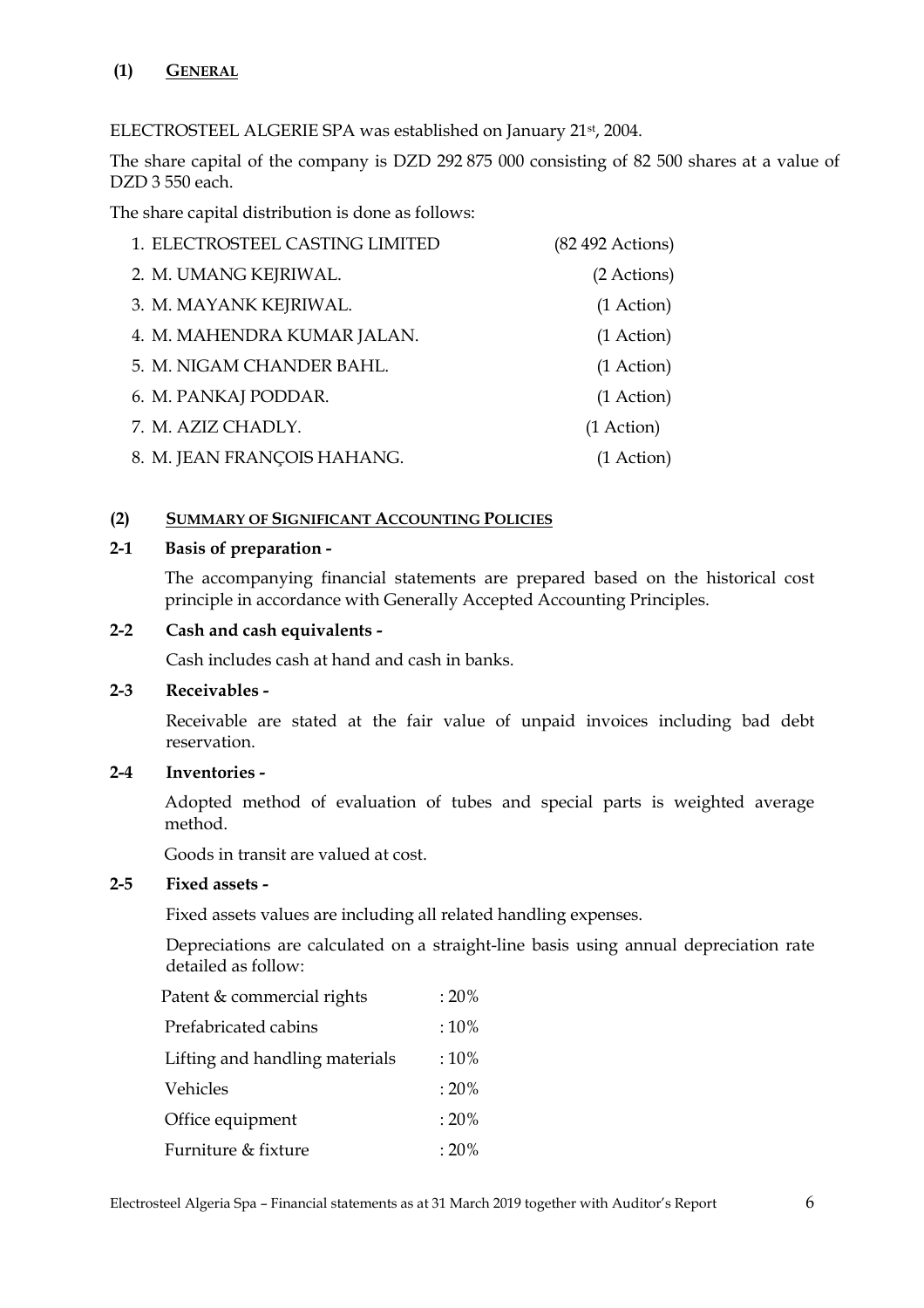ELECTROSTEEL ALGERIE SPA was established on January 21st, 2004.

The share capital of the company is DZD 292 875 000 consisting of 82 500 shares at a value of DZD 3 550 each.

The share capital distribution is done as follows:

| 1. ELECTROSTEEL CASTING LIMITED | $(82 492$ Actions) |
|---------------------------------|--------------------|
| 2. M. UMANG KEJRIWAL.           | (2 Actions)        |
| 3. M. MAYANK KEJRIWAL.          | $(1$ Action $)$    |
| 4. M. MAHENDRA KUMAR JALAN.     | (1 Action)         |
| 5. M. NIGAM CHANDER BAHL.       | (1 Action)         |
| 6. M. PANKAJ PODDAR.            | (1 Action)         |
| 7. M. AZIZ CHADLY.              | (1 Action)         |
| 8. M. JEAN FRANÇOIS HAHANG.     | (1 Action)         |

## **(2) SUMMARY OF SIGNIFICANT ACCOUNTING POLICIES**

## **2-1 Basis of preparation -**

The accompanying financial statements are prepared based on the historical cost principle in accordance with Generally Accepted Accounting Principles.

## **2-2 Cash and cash equivalents -**

Cash includes cash at hand and cash in banks.

## **2-3 Receivables -**

 Receivable are stated at the fair value of unpaid invoices including bad debt reservation.

## **2-4 Inventories -**

Adopted method of evaluation of tubes and special parts is weighted average method.

Goods in transit are valued at cost.

## **2-5 Fixed assets -**

Fixed assets values are including all related handling expenses.

 Depreciations are calculated on a straight-line basis using annual depreciation rate detailed as follow:

| Patent & commercial rights     | $:20\%$     |
|--------------------------------|-------------|
| Prefabricated cabins           | $:10\%$     |
| Lifting and handling materials | $:10\%$     |
| Vehicles                       | :20%        |
| Office equipment               | :20%        |
| Furniture & fixture            | $\cdot$ 20% |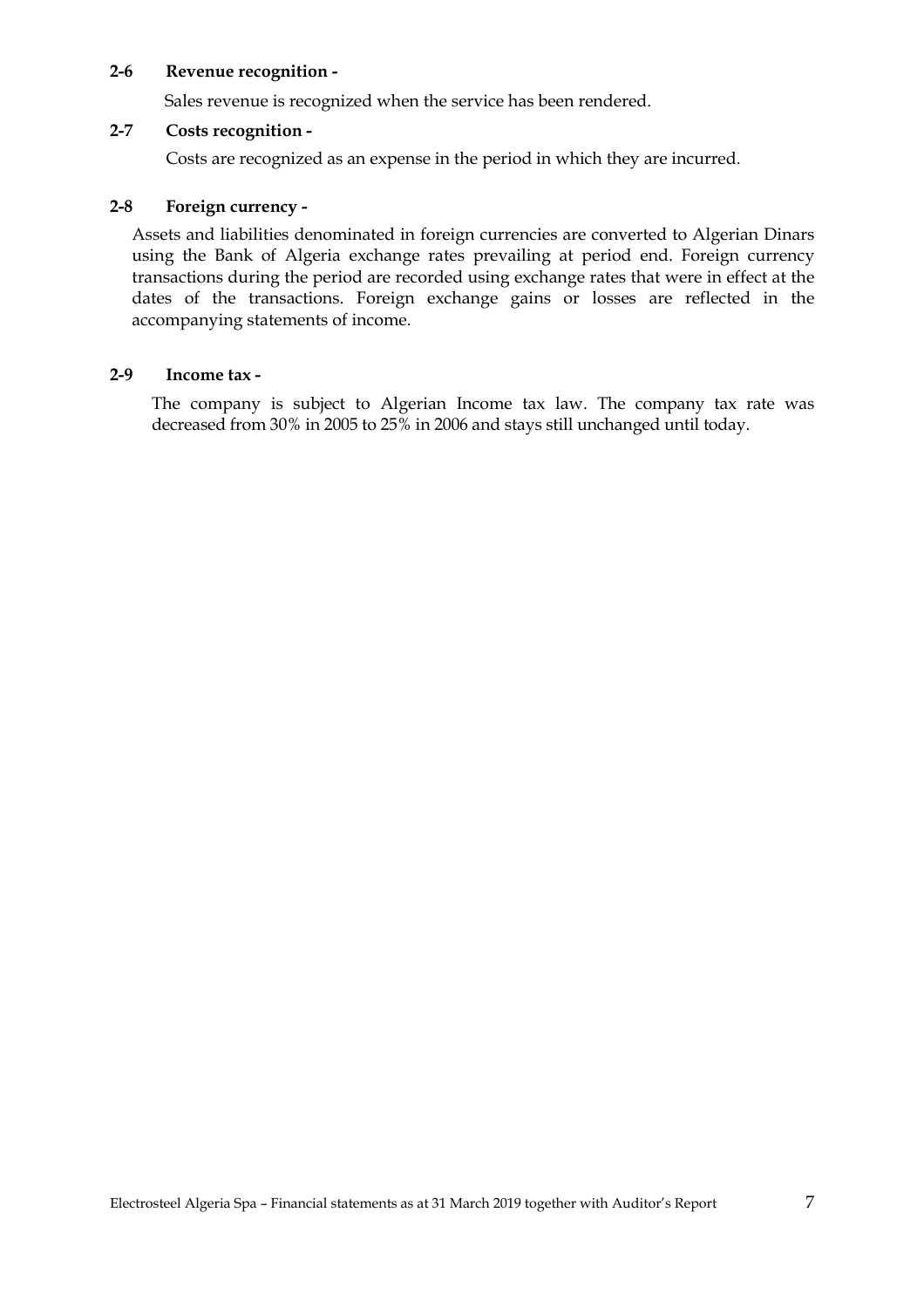#### **2-6 Revenue recognition -**

Sales revenue is recognized when the service has been rendered.

## **2-7 Costs recognition -**

Costs are recognized as an expense in the period in which they are incurred.

#### **2-8 Foreign currency -**

Assets and liabilities denominated in foreign currencies are converted to Algerian Dinars using the Bank of Algeria exchange rates prevailing at period end. Foreign currency transactions during the period are recorded using exchange rates that were in effect at the dates of the transactions. Foreign exchange gains or losses are reflected in the accompanying statements of income.

#### **2-9 Income tax -**

The company is subject to Algerian Income tax law. The company tax rate was decreased from 30% in 2005 to 25% in 2006 and stays still unchanged until today.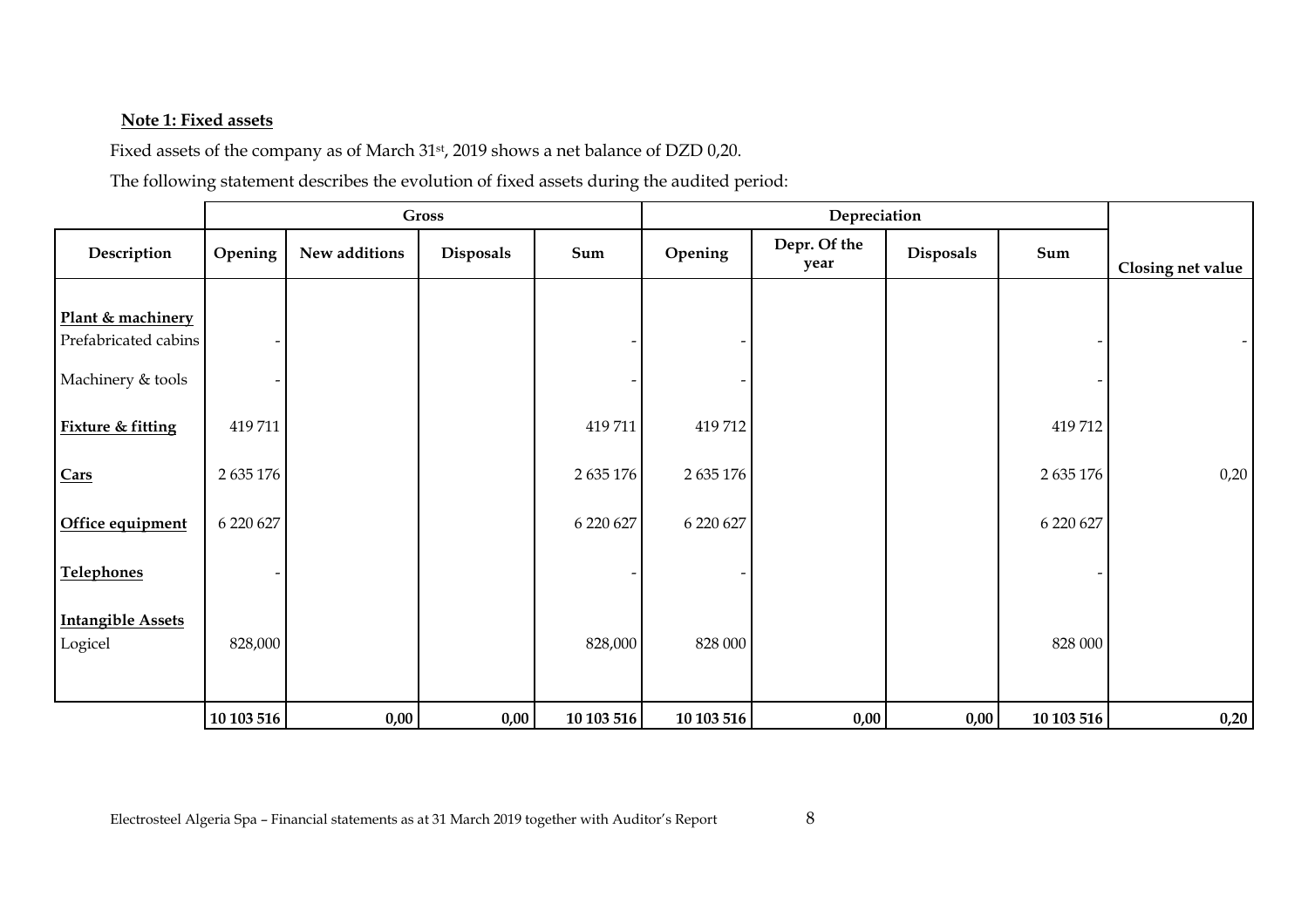## **Note 1: Fixed assets**

Fixed assets of the company as of March 31st, 2019 shows a net balance of DZD 0,20.

The following statement describes the evolution of fixed assets during the audited period:

|                                                                                                                            |                                  |               | <b>Gross</b> |                                  |                                  | Depreciation         |           |                                  |                   |  |
|----------------------------------------------------------------------------------------------------------------------------|----------------------------------|---------------|--------------|----------------------------------|----------------------------------|----------------------|-----------|----------------------------------|-------------------|--|
| Description                                                                                                                | Opening                          | New additions | Disposals    | Sum                              | Opening                          | Depr. Of the<br>year | Disposals | Sum                              | Closing net value |  |
| Plant & machinery<br>Prefabricated cabins<br>Machinery & tools<br><b>Fixture &amp; fitting</b><br>Cars<br>Office equipment | 419711<br>2 635 176<br>6 220 627 |               |              | 419711<br>2 635 176<br>6 220 627 | 419712<br>2 635 176<br>6 220 627 |                      |           | 419712<br>2 635 176<br>6 220 627 | 0,20              |  |
| <b>Telephones</b><br><b>Intangible Assets</b><br>Logicel                                                                   | 828,000                          |               |              | 828,000                          | 828 000                          |                      |           | 828 000                          |                   |  |
|                                                                                                                            | 10 103 516                       | 0,00          | 0,00         | 10 103 516                       | 10 103 516                       | 0,00                 | 0,00      | 10 103 516                       | 0,20              |  |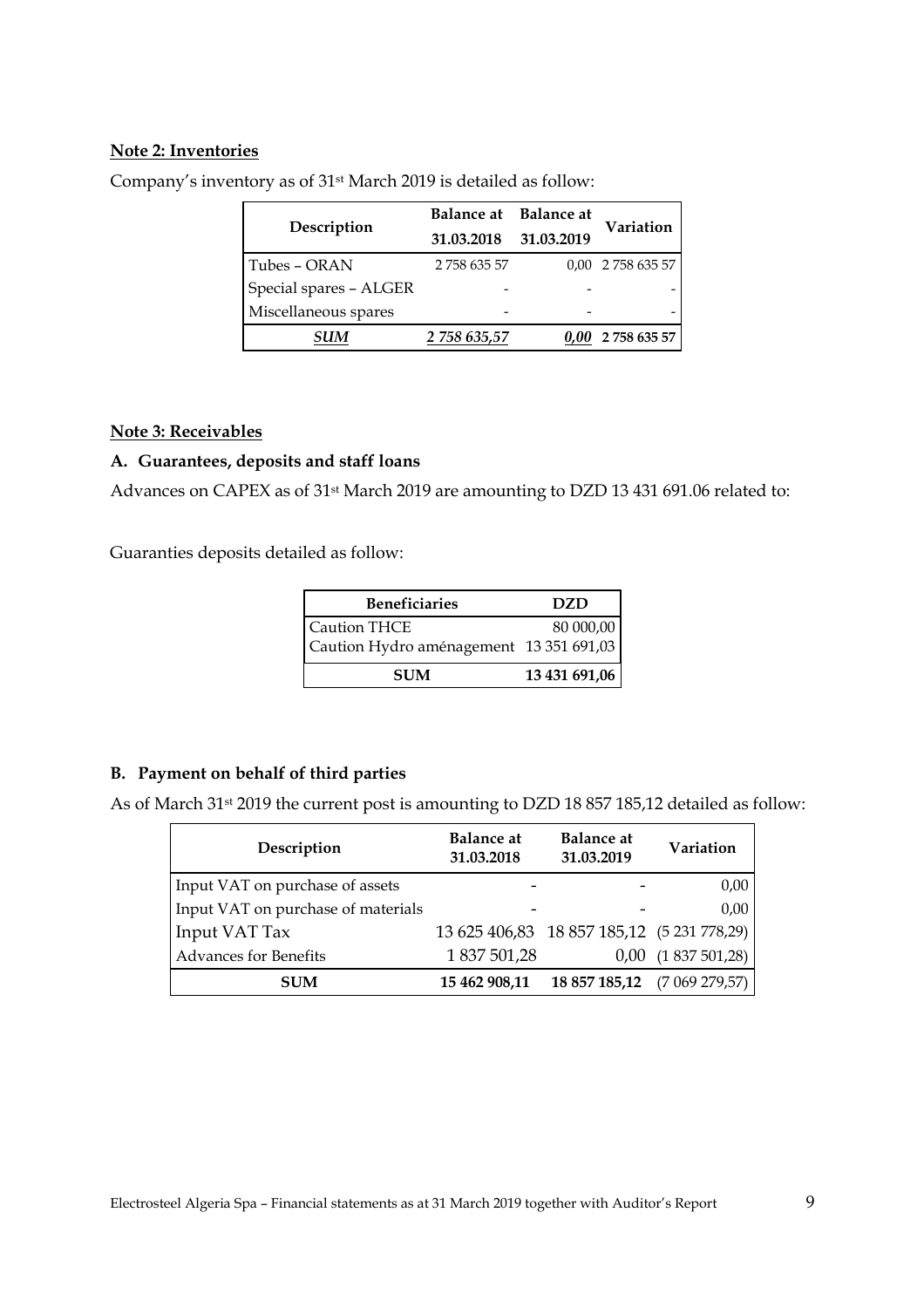## **Note 2: Inventories**

| Description            | Balance at Balance at |            | Variation         |  |
|------------------------|-----------------------|------------|-------------------|--|
|                        | 31.03.2018            | 31.03.2019 |                   |  |
| Tubes - ORAN           | 275863557             |            | 0,00 2 758 635 57 |  |
| Special spares - ALGER |                       |            |                   |  |
| Miscellaneous spares   |                       |            |                   |  |
| 31 IM                  | 2 758 635.57          |            | 2 758 635 57      |  |

Company's inventory as of 31st March 2019 is detailed as follow:

#### **Note 3: Receivables**

## **A. Guarantees, deposits and staff loans**

Advances on CAPEX as of 31st March 2019 are amounting to DZD 13 431 691.06 related to:

Guaranties deposits detailed as follow:

| <b>Beneficiaries</b>                                    | DZD.          |
|---------------------------------------------------------|---------------|
| Caution THCE<br>Caution Hydro aménagement 13 351 691,03 | 80 000,00     |
| <b>SUM</b>                                              | 13 431 691,06 |

## **B. Payment on behalf of third parties**

As of March 31<sup>st</sup> 2019 the current post is amounting to DZD 18 857 185,12 detailed as follow:

| Description                        | <b>Balance</b> at<br>31.03.2018 | <b>Balance</b> at<br>31.03.2019            | Variation    |
|------------------------------------|---------------------------------|--------------------------------------------|--------------|
| Input VAT on purchase of assets    | -                               |                                            | 0,00         |
| Input VAT on purchase of materials | $\overline{a}$                  |                                            | 0,00         |
| Input VAT Tax                      |                                 | 13 625 406,83 18 857 185,12 (5 231 778,29) |              |
| <b>Advances for Benefits</b>       | 1 837 501,28                    | 0.00                                       | (1837501,28) |
| <b>SUM</b>                         | 15 462 908,11                   | 18 857 185,12                              | (7069279,57) |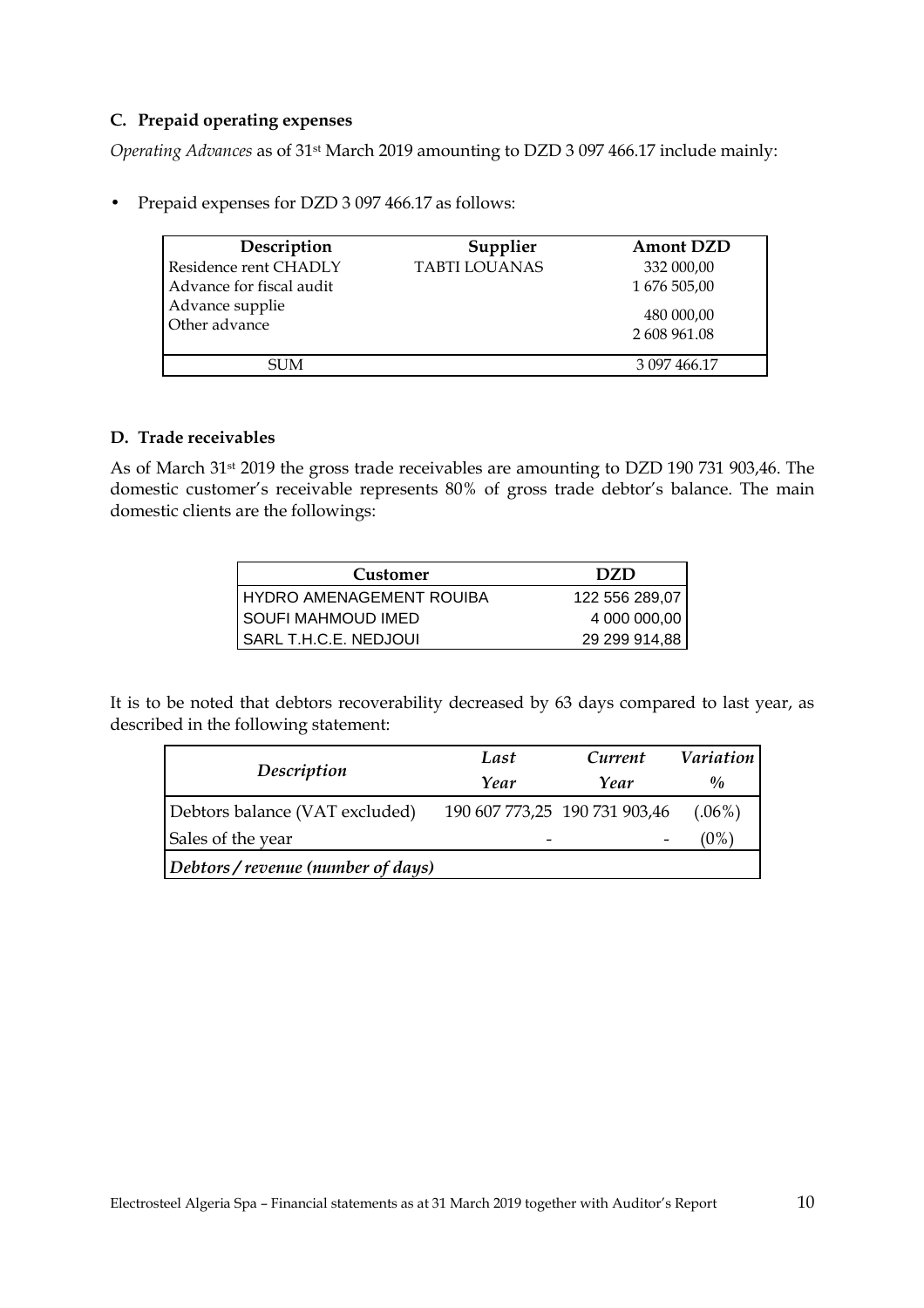## **C. Prepaid operating expenses**

*Operating Advances* as of 31st March 2019 amounting to DZD 3 097 466.17 include mainly:

• Prepaid expenses for DZD 3 097 466.17 as follows:

| Description<br>Residence rent CHADLY | Supplier<br><b>TABTI LOUANAS</b> | <b>Amont DZD</b>           |
|--------------------------------------|----------------------------------|----------------------------|
| Advance for fiscal audit             |                                  | 332 000,00<br>1 676 505,00 |
| Advance supplie<br>Other advance     |                                  | 480 000,00<br>2 608 961.08 |
| SUM                                  |                                  | 3 097 466.17               |

## **D. Trade receivables**

As of March 31st 2019 the gross trade receivables are amounting to DZD 190 731 903,46. The domestic customer's receivable represents 80% of gross trade debtor's balance. The main domestic clients are the followings:

| Customer                          | DZD.           |
|-----------------------------------|----------------|
| <b>I HYDRO AMENAGEMENT ROUIBA</b> | 122 556 289,07 |
| SOUFI MAHMOUD IMED                | 4 000 000,00   |
| SARL T.H.C.E. NEDJOUI             | 29 299 914,88  |

It is to be noted that debtors recoverability decreased by 63 days compared to last year, as described in the following statement:

|                                  | Last                          | Current | <i>Variation</i> |  |
|----------------------------------|-------------------------------|---------|------------------|--|
| Description                      | Year                          | Year    | $\frac{0}{0}$    |  |
| Debtors balance (VAT excluded)   | 190 607 773,25 190 731 903,46 |         | $(.06\%)$        |  |
| Sales of the year                |                               |         | 0%               |  |
| Debtors/revenue (number of days) |                               |         |                  |  |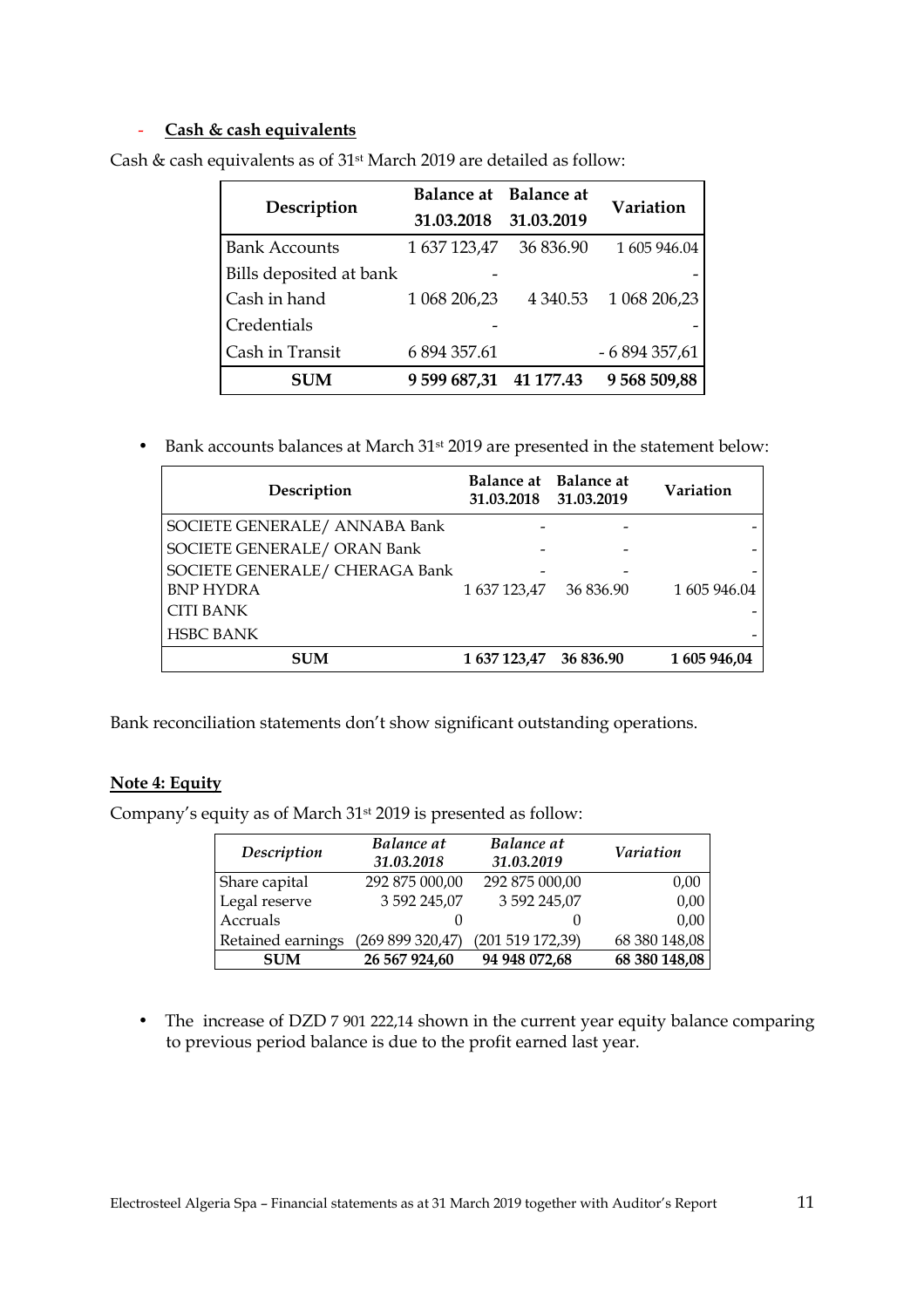#### - **Cash & cash equivalents**

| Description             | Balance at Balance at |             | Variation     |  |
|-------------------------|-----------------------|-------------|---------------|--|
|                         | 31.03.2018            | 31.03.2019  |               |  |
| <b>Bank Accounts</b>    | 1 637 123,47          | 36 836.90   | 1 605 946.04  |  |
| Bills deposited at bank |                       |             |               |  |
| Cash in hand            | 1 068 206,23          | 4 3 4 0.5 3 | 1 068 206,23  |  |
| Credentials             |                       |             |               |  |
| Cash in Transit         | 6 894 357.61          |             | $-6894357,61$ |  |
| <b>SUM</b>              | 9 599 687,31          | 41 177.43   | 9568509,88    |  |

Cash & cash equivalents as of 31st March 2019 are detailed as follow:

• Bank accounts balances at March 31<sup>st</sup> 2019 are presented in the statement below:

| Description                    | Balance at Balance at<br>31.03.2018 31.03.2019 |           | Variation    |
|--------------------------------|------------------------------------------------|-----------|--------------|
| SOCIETE GENERALE/ ANNABA Bank  |                                                |           |              |
| SOCIETE GENERALE/ ORAN Bank    |                                                |           |              |
| SOCIETE GENERALE/ CHERAGA Bank |                                                |           |              |
| <b>BNP HYDRA</b>               | 1 637 123,47                                   | 36 836.90 | 1 605 946.04 |
| <b>CITI BANK</b>               |                                                |           |              |
| <b>HSBC BANK</b>               |                                                |           |              |
| <b>SUM</b>                     | 1 637 123,47                                   | 36 836.90 | 1 605 946,04 |

Bank reconciliation statements don't show significant outstanding operations.

## **Note 4: Equity**

Company's equity as of March 31st 2019 is presented as follow:

| Description       | Balance at<br>31.03.2018 | <b>Balance</b> at<br>31.03.2019 | Variation     |
|-------------------|--------------------------|---------------------------------|---------------|
| Share capital     | 292 875 000,00           | 292 875 000,00                  | 0,00          |
| Legal reserve     | 3 592 245,07             | 3 592 245,07                    | 0,00          |
| Accruals          |                          |                                 | 0,00          |
| Retained earnings | (269 899 320,47)         | (201519172,39)                  | 68 380 148,08 |
| <b>SUM</b>        | 26 567 924,60            | 94 948 072,68                   | 68 380 148,08 |

• The increase of DZD 7 901 222,14 shown in the current year equity balance comparing to previous period balance is due to the profit earned last year.